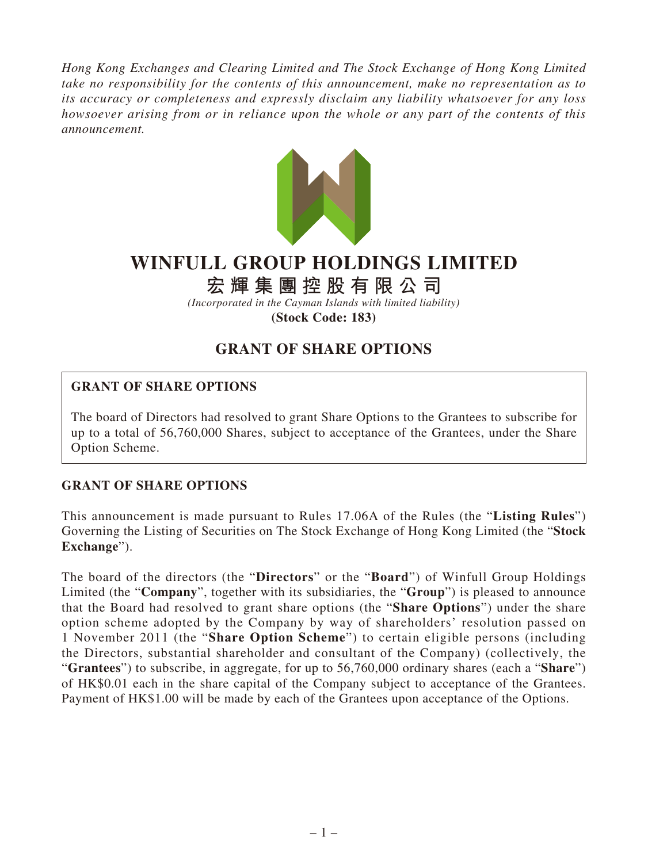*Hong Kong Exchanges and Clearing Limited and The Stock Exchange of Hong Kong Limited take no responsibility for the contents of this announcement, make no representation as to its accuracy or completeness and expressly disclaim any liability whatsoever for any loss howsoever arising from or in reliance upon the whole or any part of the contents of this announcement.*



## **WINFULL GROUP HOLDINGS LIMITED**

# **宏輝集團控股有限公司**

*(Incorporated in the Cayman Islands with limited liability)* **(Stock Code: 183)**

## **GRANT OF SHARE OPTIONS**

### **GRANT OF SHARE OPTIONS**

The board of Directors had resolved to grant Share Options to the Grantees to subscribe for up to a total of 56,760,000 Shares, subject to acceptance of the Grantees, under the Share Option Scheme.

### **GRANT OF SHARE OPTIONS**

This announcement is made pursuant to Rules 17.06A of the Rules (the "**Listing Rules**") Governing the Listing of Securities on The Stock Exchange of Hong Kong Limited (the "**Stock Exchange**").

The board of the directors (the "**Directors**" or the "**Board**") of Winfull Group Holdings Limited (the "**Company**", together with its subsidiaries, the "**Group**") is pleased to announce that the Board had resolved to grant share options (the "**Share Options**") under the share option scheme adopted by the Company by way of shareholders' resolution passed on 1 November 2011 (the "**Share Option Scheme**") to certain eligible persons (including the Directors, substantial shareholder and consultant of the Company) (collectively, the "**Grantees**") to subscribe, in aggregate, for up to 56,760,000 ordinary shares (each a "**Share**") of HK\$0.01 each in the share capital of the Company subject to acceptance of the Grantees. Payment of HK\$1.00 will be made by each of the Grantees upon acceptance of the Options.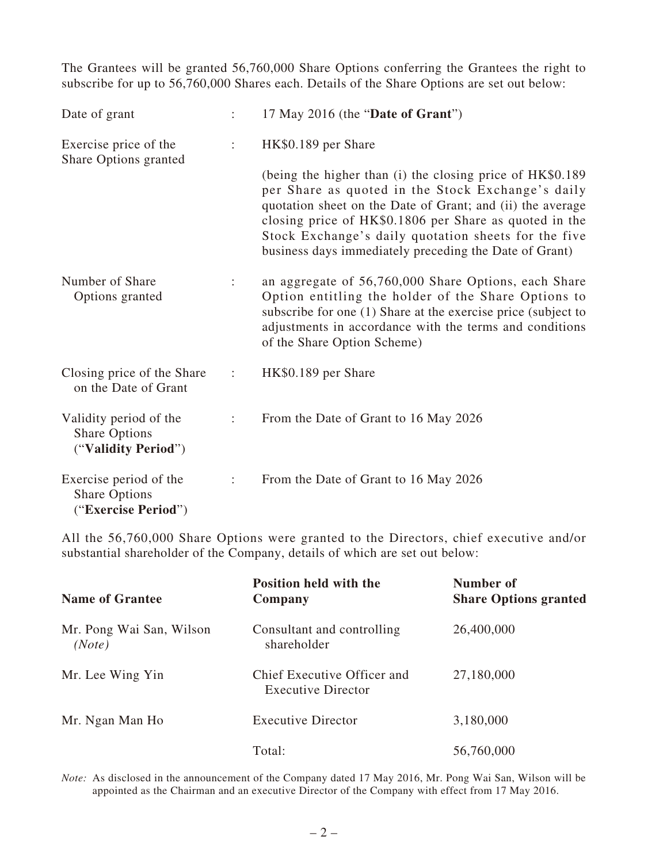The Grantees will be granted 56,760,000 Share Options conferring the Grantees the right to subscribe for up to 56,760,000 Shares each. Details of the Share Options are set out below:

| Date of grant                                                         |                      | 17 May 2016 (the "Date of Grant")                                                                                                                                                                                                                                                                                                                        |  |
|-----------------------------------------------------------------------|----------------------|----------------------------------------------------------------------------------------------------------------------------------------------------------------------------------------------------------------------------------------------------------------------------------------------------------------------------------------------------------|--|
| Exercise price of the<br>Share Options granted                        | ÷                    | HK\$0.189 per Share                                                                                                                                                                                                                                                                                                                                      |  |
|                                                                       |                      | (being the higher than (i) the closing price of HK\$0.189<br>per Share as quoted in the Stock Exchange's daily<br>quotation sheet on the Date of Grant; and (ii) the average<br>closing price of HK\$0.1806 per Share as quoted in the<br>Stock Exchange's daily quotation sheets for the five<br>business days immediately preceding the Date of Grant) |  |
| Number of Share<br>Options granted                                    | $\ddot{\phantom{a}}$ | an aggregate of 56,760,000 Share Options, each Share<br>Option entitling the holder of the Share Options to<br>subscribe for one (1) Share at the exercise price (subject to<br>adjustments in accordance with the terms and conditions<br>of the Share Option Scheme)                                                                                   |  |
| Closing price of the Share<br>on the Date of Grant                    | $\ddot{\phantom{a}}$ | HK\$0.189 per Share                                                                                                                                                                                                                                                                                                                                      |  |
| Validity period of the<br><b>Share Options</b><br>("Validity Period") | $\ddot{\cdot}$       | From the Date of Grant to 16 May 2026                                                                                                                                                                                                                                                                                                                    |  |
| Exercise period of the<br><b>Share Options</b><br>("Exercise Period") | $\ddot{\phantom{a}}$ | From the Date of Grant to 16 May 2026                                                                                                                                                                                                                                                                                                                    |  |

All the 56,760,000 Share Options were granted to the Directors, chief executive and/or substantial shareholder of the Company, details of which are set out below:

| <b>Name of Grantee</b>             | Position held with the<br>Company                        | Number of<br><b>Share Options granted</b> |
|------------------------------------|----------------------------------------------------------|-------------------------------------------|
| Mr. Pong Wai San, Wilson<br>(Note) | Consultant and controlling<br>shareholder                | 26,400,000                                |
| Mr. Lee Wing Yin                   | Chief Executive Officer and<br><b>Executive Director</b> | 27,180,000                                |
| Mr. Ngan Man Ho                    | <b>Executive Director</b>                                | 3,180,000                                 |
|                                    | Total:                                                   | 56,760,000                                |

*Note:* As disclosed in the announcement of the Company dated 17 May 2016, Mr. Pong Wai San, Wilson will be appointed as the Chairman and an executive Director of the Company with effect from 17 May 2016.